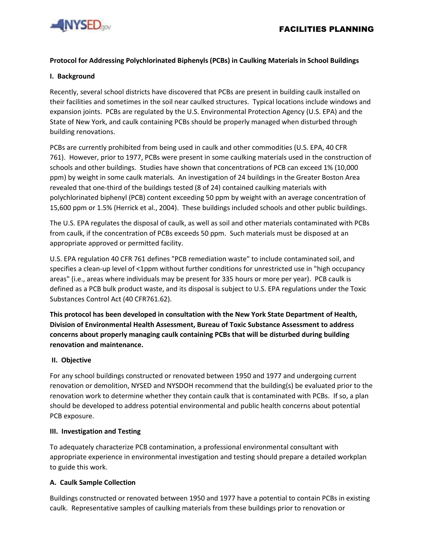

# **Protocol for Addressing Polychlorinated Biphenyls (PCBs) in Caulking Materials in School Buildings**

#### **I. Background**

Recently, several school districts have discovered that PCBs are present in building caulk installed on their facilities and sometimes in the soil near caulked structures. Typical locations include windows and expansion joints. PCBs are regulated by the U.S. Environmental Protection Agency (U.S. EPA) and the State of New York, and caulk containing PCBs should be properly managed when disturbed through building renovations.

PCBs are currently prohibited from being used in caulk and other commodities (U.S. EPA, 40 CFR 761). However, prior to 1977, PCBs were present in some caulking materials used in the construction of schools and other buildings. Studies have shown that concentrations of PCB can exceed 1% (10,000 ppm) by weight in some caulk materials. An investigation of 24 buildings in the Greater Boston Area revealed that one-third of the buildings tested (8 of 24) contained caulking materials with polychlorinated biphenyl (PCB) content exceeding 50 ppm by weight with an average concentration of 15,600 ppm or 1.5% (Herrick et al., 2004). These buildings included schools and other public buildings.

The U.S. EPA regulates the disposal of caulk, as well as soil and other materials contaminated with PCBs from caulk, if the concentration of PCBs exceeds 50 ppm. Such materials must be disposed at an appropriate approved or permitted facility.

U.S. EPA regulation 40 CFR 761 defines "PCB remediation waste" to include contaminated soil, and specifies a clean-up level of <1ppm without further conditions for unrestricted use in "high occupancy areas" (i.e., areas where individuals may be present for 335 hours or more per year). PCB caulk is defined as a PCB bulk product waste, and its disposal is subject to U.S. EPA regulations under the Toxic Substances Control Act (40 CFR761.62).

**This protocol has been developed in consultation with the New York State Department of Health, Division of Environmental Health Assessment, Bureau of Toxic Substance Assessment to address concerns about properly managing caulk containing PCBs that will be disturbed during building renovation and maintenance.**

## **II. Objective**

For any school buildings constructed or renovated between 1950 and 1977 and undergoing current renovation or demolition, NYSED and NYSDOH recommend that the building(s) be evaluated prior to the renovation work to determine whether they contain caulk that is contaminated with PCBs. If so, a plan should be developed to address potential environmental and public health concerns about potential PCB exposure.

#### **III. Investigation and Testing**

To adequately characterize PCB contamination, a professional environmental consultant with appropriate experience in environmental investigation and testing should prepare a detailed workplan to guide this work.

## **A. Caulk Sample Collection**

Buildings constructed or renovated between 1950 and 1977 have a potential to contain PCBs in existing caulk. Representative samples of caulking materials from these buildings prior to renovation or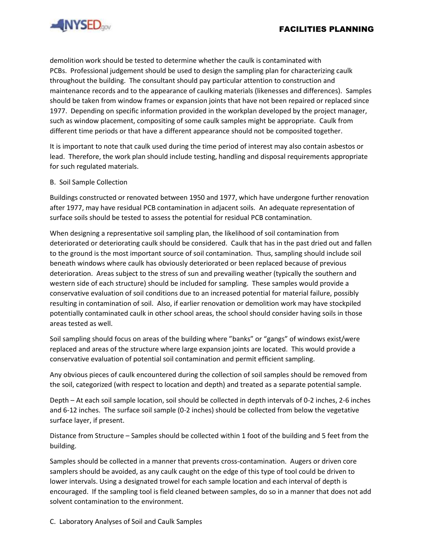

demolition work should be tested to determine whether the caulk is contaminated with PCBs. Professional judgement should be used to design the sampling plan for characterizing caulk throughout the building. The consultant should pay particular attention to construction and maintenance records and to the appearance of caulking materials (likenesses and differences). Samples should be taken from window frames or expansion joints that have not been repaired or replaced since 1977. Depending on specific information provided in the workplan developed by the project manager, such as window placement, compositing of some caulk samples might be appropriate. Caulk from different time periods or that have a different appearance should not be composited together.

It is important to note that caulk used during the time period of interest may also contain asbestos or lead. Therefore, the work plan should include testing, handling and disposal requirements appropriate for such regulated materials.

#### B. Soil Sample Collection

Buildings constructed or renovated between 1950 and 1977, which have undergone further renovation after 1977, may have residual PCB contamination in adjacent soils. An adequate representation of surface soils should be tested to assess the potential for residual PCB contamination.

When designing a representative soil sampling plan, the likelihood of soil contamination from deteriorated or deteriorating caulk should be considered. Caulk that has in the past dried out and fallen to the ground is the most important source of soil contamination. Thus, sampling should include soil beneath windows where caulk has obviously deteriorated or been replaced because of previous deterioration. Areas subject to the stress of sun and prevailing weather (typically the southern and western side of each structure) should be included for sampling. These samples would provide a conservative evaluation of soil conditions due to an increased potential for material failure, possibly resulting in contamination of soil. Also, if earlier renovation or demolition work may have stockpiled potentially contaminated caulk in other school areas, the school should consider having soils in those areas tested as well.

Soil sampling should focus on areas of the building where "banks" or "gangs" of windows exist/were replaced and areas of the structure where large expansion joints are located. This would provide a conservative evaluation of potential soil contamination and permit efficient sampling.

Any obvious pieces of caulk encountered during the collection of soil samples should be removed from the soil, categorized (with respect to location and depth) and treated as a separate potential sample.

Depth – At each soil sample location, soil should be collected in depth intervals of 0-2 inches, 2-6 inches and 6-12 inches. The surface soil sample (0-2 inches) should be collected from below the vegetative surface layer, if present.

Distance from Structure – Samples should be collected within 1 foot of the building and 5 feet from the building.

Samples should be collected in a manner that prevents cross-contamination. Augers or driven core samplers should be avoided, as any caulk caught on the edge of this type of tool could be driven to lower intervals. Using a designated trowel for each sample location and each interval of depth is encouraged. If the sampling tool is field cleaned between samples, do so in a manner that does not add solvent contamination to the environment.